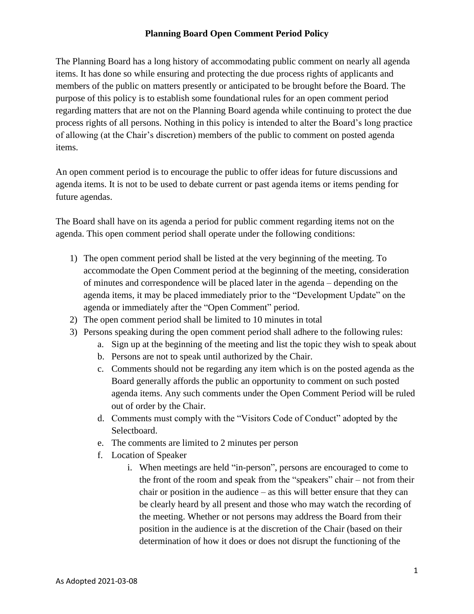## **Planning Board Open Comment Period Policy**

The Planning Board has a long history of accommodating public comment on nearly all agenda items. It has done so while ensuring and protecting the due process rights of applicants and members of the public on matters presently or anticipated to be brought before the Board. The purpose of this policy is to establish some foundational rules for an open comment period regarding matters that are not on the Planning Board agenda while continuing to protect the due process rights of all persons. Nothing in this policy is intended to alter the Board's long practice of allowing (at the Chair's discretion) members of the public to comment on posted agenda items.

An open comment period is to encourage the public to offer ideas for future discussions and agenda items. It is not to be used to debate current or past agenda items or items pending for future agendas.

The Board shall have on its agenda a period for public comment regarding items not on the agenda. This open comment period shall operate under the following conditions:

- 1) The open comment period shall be listed at the very beginning of the meeting. To accommodate the Open Comment period at the beginning of the meeting, consideration of minutes and correspondence will be placed later in the agenda – depending on the agenda items, it may be placed immediately prior to the "Development Update" on the agenda or immediately after the "Open Comment" period.
- 2) The open comment period shall be limited to 10 minutes in total
- 3) Persons speaking during the open comment period shall adhere to the following rules:
	- a. Sign up at the beginning of the meeting and list the topic they wish to speak about
	- b. Persons are not to speak until authorized by the Chair.
	- c. Comments should not be regarding any item which is on the posted agenda as the Board generally affords the public an opportunity to comment on such posted agenda items. Any such comments under the Open Comment Period will be ruled out of order by the Chair.
	- d. Comments must comply with the "Visitors Code of Conduct" adopted by the Selectboard.
	- e. The comments are limited to 2 minutes per person
	- f. Location of Speaker
		- i. When meetings are held "in-person", persons are encouraged to come to the front of the room and speak from the "speakers" chair – not from their chair or position in the audience – as this will better ensure that they can be clearly heard by all present and those who may watch the recording of the meeting. Whether or not persons may address the Board from their position in the audience is at the discretion of the Chair (based on their determination of how it does or does not disrupt the functioning of the